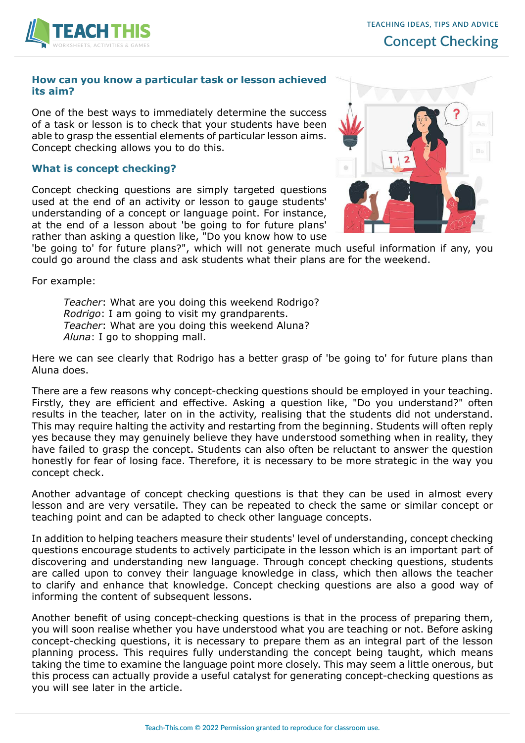

## **How can you know a particular task or lesson achieved its aim?**

One of the best ways to immediately determine the success of a task or lesson is to check that your students have been able to grasp the essential elements of particular lesson aims. Concept checking allows you to do this.

## **What is concept checking?**

Concept checking questions are simply targeted questions used at the end of an activity or lesson to gauge students' understanding of a concept or language point. For instance, at the end of a lesson about 'be going to for future plans' rather than asking a question like, "Do you know how to use



'be going to' for future plans?", which will not generate much useful information if any, you could go around the class and ask students what their plans are for the weekend.

For example:

*Teacher*: What are you doing this weekend Rodrigo? *Rodrigo*: I am going to visit my grandparents. *Teacher*: What are you doing this weekend Aluna? *Aluna*: I go to shopping mall.

Here we can see clearly that Rodrigo has a better grasp of 'be going to' for future plans than Aluna does.

There are a few reasons why concept-checking questions should be employed in your teaching. Firstly, they are efficient and effective. Asking a question like, "Do you understand?" often results in the teacher, later on in the activity, realising that the students did not understand. This may require halting the activity and restarting from the beginning. Students will often reply yes because they may genuinely believe they have understood something when in reality, they have failed to grasp the concept. Students can also often be reluctant to answer the question honestly for fear of losing face. Therefore, it is necessary to be more strategic in the way you concept check.

Another advantage of concept checking questions is that they can be used in almost every lesson and are very versatile. They can be repeated to check the same or similar concept or teaching point and can be adapted to check other language concepts.

In addition to helping teachers measure their students' level of understanding, concept checking questions encourage students to actively participate in the lesson which is an important part of discovering and understanding new language. Through concept checking questions, students are called upon to convey their language knowledge in class, which then allows the teacher to clarify and enhance that knowledge. Concept checking questions are also a good way of informing the content of subsequent lessons.

Another benefit of using concept-checking questions is that in the process of preparing them, you will soon realise whether you have understood what you are teaching or not. Before asking concept-checking questions, it is necessary to prepare them as an integral part of the lesson planning process. This requires fully understanding the concept being taught, which means taking the time to examine the language point more closely. This may seem a little onerous, but this process can actually provide a useful catalyst for generating concept-checking questions as you will see later in the article.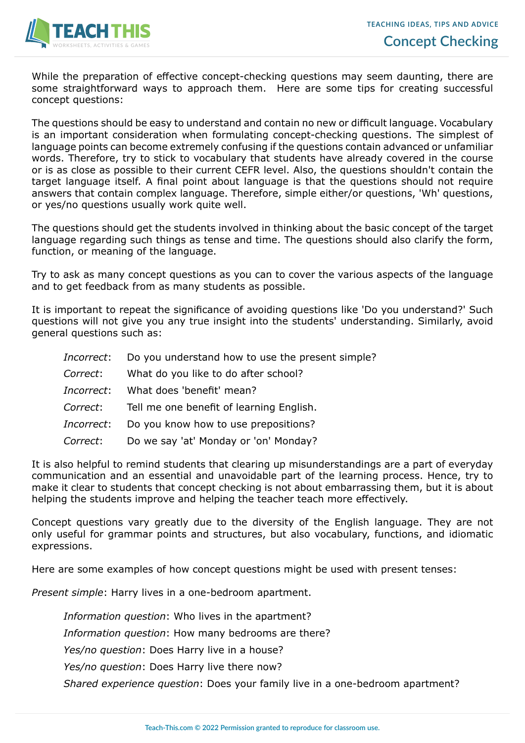

While the preparation of effective concept-checking questions may seem daunting, there are some straightforward ways to approach them. Here are some tips for creating successful concept questions:

The questions should be easy to understand and contain no new or difficult language. Vocabulary is an important consideration when formulating concept-checking questions. The simplest of language points can become extremely confusing if the questions contain advanced or unfamiliar words. Therefore, try to stick to vocabulary that students have already covered in the course or is as close as possible to their current CEFR level. Also, the questions shouldn't contain the target language itself. A final point about language is that the questions should not require answers that contain complex language. Therefore, simple either/or questions, 'Wh' questions, or yes/no questions usually work quite well.

The questions should get the students involved in thinking about the basic concept of the target language regarding such things as tense and time. The questions should also clarify the form, function, or meaning of the language.

Try to ask as many concept questions as you can to cover the various aspects of the language and to get feedback from as many students as possible.

It is important to repeat the significance of avoiding questions like 'Do you understand?' Such questions will not give you any true insight into the students' understanding. Similarly, avoid general questions such as:

|                  | <i>Incorrect</i> : Do you understand how to use the present simple? |
|------------------|---------------------------------------------------------------------|
| <i>Correct</i> : | What do you like to do after school?                                |
| Incorrect:       | What does 'benefit' mean?                                           |
|                  | Correct: Tell me one benefit of learning English.                   |
| Incorrect:       | Do you know how to use prepositions?                                |
| <i>Correct:</i>  | Do we say 'at' Monday or 'on' Monday?                               |

It is also helpful to remind students that clearing up misunderstandings are a part of everyday communication and an essential and unavoidable part of the learning process. Hence, try to make it clear to students that concept checking is not about embarrassing them, but it is about helping the students improve and helping the teacher teach more effectively.

Concept questions vary greatly due to the diversity of the English language. They are not only useful for grammar points and structures, but also vocabulary, functions, and idiomatic expressions.

Here are some examples of how concept questions might be used with present tenses:

*Present simple*: Harry lives in a one-bedroom apartment.

*Information question*: Who lives in the apartment?

*Information question*: How many bedrooms are there?

*Yes/no question*: Does Harry live in a house?

*Yes/no question*: Does Harry live there now?

*Shared experience question*: Does your family live in a one-bedroom apartment?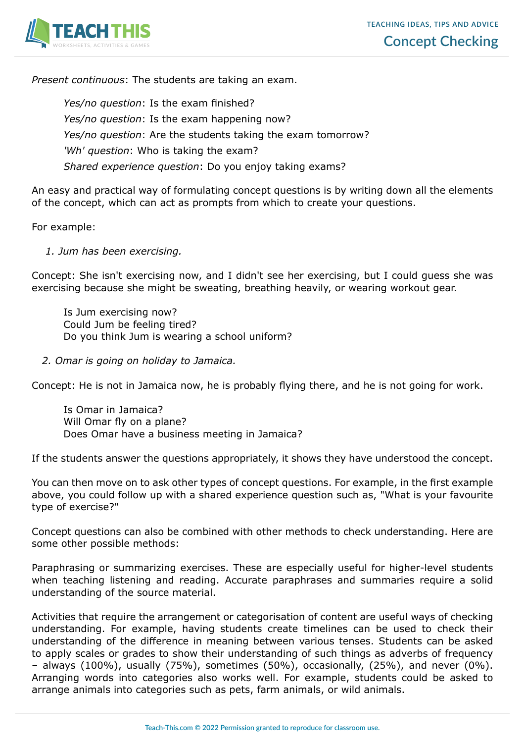

*Present continuous*: The students are taking an exam.

*Yes/no question*: Is the exam finished? *Yes/no question*: Is the exam happening now? *Yes/no question*: Are the students taking the exam tomorrow? *'Wh' question*: Who is taking the exam? *Shared experience question*: Do you enjoy taking exams?

An easy and practical way of formulating concept questions is by writing down all the elements of the concept, which can act as prompts from which to create your questions.

For example:

 *1. Jum has been exercising.*

Concept: She isn't exercising now, and I didn't see her exercising, but I could guess she was exercising because she might be sweating, breathing heavily, or wearing workout gear.

Is Jum exercising now? Could Jum be feeling tired? Do you think Jum is wearing a school uniform?

 *2. Omar is going on holiday to Jamaica.*

Concept: He is not in Jamaica now, he is probably flying there, and he is not going for work.

Is Omar in Jamaica? Will Omar fly on a plane? Does Omar have a business meeting in Jamaica?

If the students answer the questions appropriately, it shows they have understood the concept.

You can then move on to ask other types of concept questions. For example, in the first example above, you could follow up with a shared experience question such as, "What is your favourite type of exercise?"

Concept questions can also be combined with other methods to check understanding. Here are some other possible methods:

Paraphrasing or summarizing exercises. These are especially useful for higher-level students when teaching listening and reading. Accurate paraphrases and summaries require a solid understanding of the source material.

Activities that require the arrangement or categorisation of content are useful ways of checking understanding. For example, having students create timelines can be used to check their understanding of the difference in meaning between various tenses. Students can be asked to apply scales or grades to show their understanding of such things as adverbs of frequency – always (100%), usually (75%), sometimes (50%), occasionally, (25%), and never (0%). Arranging words into categories also works well. For example, students could be asked to arrange animals into categories such as pets, farm animals, or wild animals.